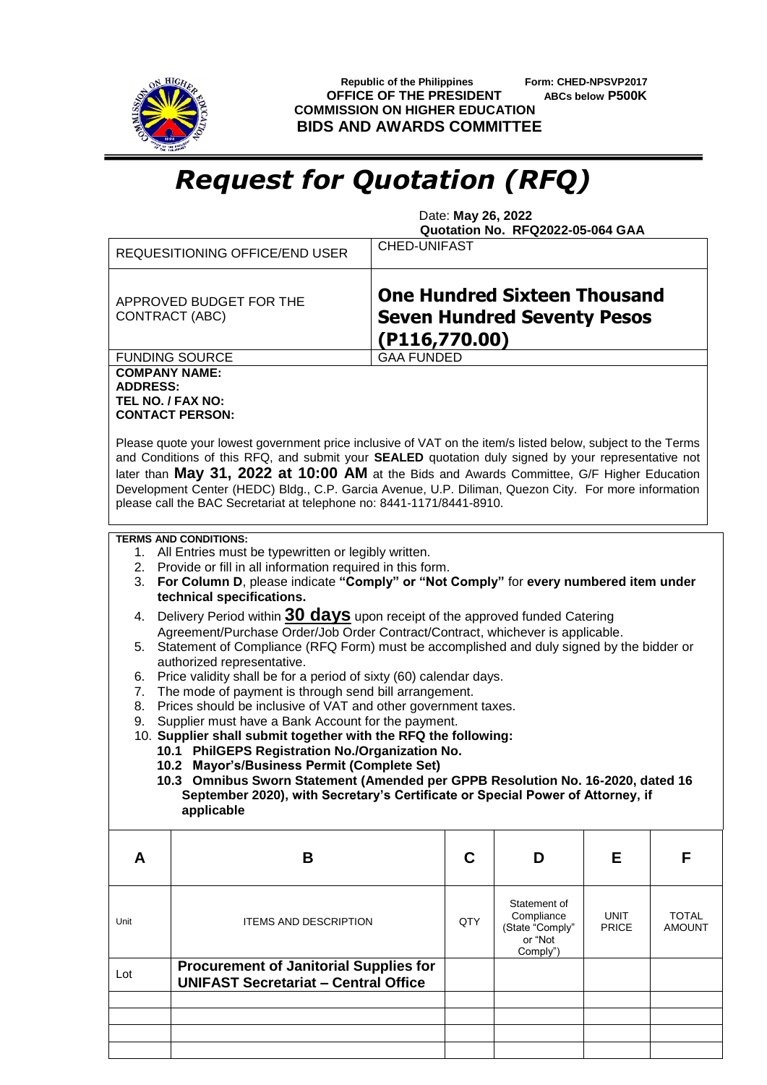

 **Republic of the Philippines Form: CHED-NPSVP2017 OFFICE OF THE PRESIDENT ABCs below P500K COMMISSION ON HIGHER EDUCATION BIDS AND AWARDS COMMITTEE**

## *Request for Quotation (RFQ)*

 Date: **May 26, 2022 Quotation No. RFQ2022-05-064 GAA**

|                                         | <b>CHED-UNIFAST</b><br>REQUESITIONING OFFICE/END USER                                                                                                                                                                                                                                                                                                                                                                                                                                             |                   |     |                                                                      |                             |                        |  |
|-----------------------------------------|---------------------------------------------------------------------------------------------------------------------------------------------------------------------------------------------------------------------------------------------------------------------------------------------------------------------------------------------------------------------------------------------------------------------------------------------------------------------------------------------------|-------------------|-----|----------------------------------------------------------------------|-----------------------------|------------------------|--|
|                                         | <b>One Hundred Sixteen Thousand</b><br>APPROVED BUDGET FOR THE<br><b>Seven Hundred Seventy Pesos</b><br><b>CONTRACT (ABC)</b><br>(P116,770.00)                                                                                                                                                                                                                                                                                                                                                    |                   |     |                                                                      |                             |                        |  |
|                                         | <b>FUNDING SOURCE</b>                                                                                                                                                                                                                                                                                                                                                                                                                                                                             | <b>GAA FUNDED</b> |     |                                                                      |                             |                        |  |
| <b>COMPANY NAME:</b><br><b>ADDRESS:</b> | TEL NO. / FAX NO:<br><b>CONTACT PERSON:</b>                                                                                                                                                                                                                                                                                                                                                                                                                                                       |                   |     |                                                                      |                             |                        |  |
|                                         | Please quote your lowest government price inclusive of VAT on the item/s listed below, subject to the Terms<br>and Conditions of this RFQ, and submit your SEALED quotation duly signed by your representative not<br>later than May 31, 2022 at 10:00 AM at the Bids and Awards Committee, G/F Higher Education<br>Development Center (HEDC) Bldg., C.P. Garcia Avenue, U.P. Diliman, Quezon City. For more information<br>please call the BAC Secretariat at telephone no: 8441-1171/8441-8910. |                   |     |                                                                      |                             |                        |  |
|                                         | <b>TERMS AND CONDITIONS:</b>                                                                                                                                                                                                                                                                                                                                                                                                                                                                      |                   |     |                                                                      |                             |                        |  |
|                                         | 1. All Entries must be typewritten or legibly written.                                                                                                                                                                                                                                                                                                                                                                                                                                            |                   |     |                                                                      |                             |                        |  |
|                                         | 2. Provide or fill in all information required in this form.                                                                                                                                                                                                                                                                                                                                                                                                                                      |                   |     |                                                                      |                             |                        |  |
| 3.                                      | For Column D, please indicate "Comply" or "Not Comply" for every numbered item under<br>technical specifications.                                                                                                                                                                                                                                                                                                                                                                                 |                   |     |                                                                      |                             |                        |  |
|                                         |                                                                                                                                                                                                                                                                                                                                                                                                                                                                                                   |                   |     |                                                                      |                             |                        |  |
|                                         | Delivery Period within 30 days upon receipt of the approved funded Catering<br>4.                                                                                                                                                                                                                                                                                                                                                                                                                 |                   |     |                                                                      |                             |                        |  |
|                                         | Agreement/Purchase Order/Job Order Contract/Contract, whichever is applicable.<br>5. Statement of Compliance (RFQ Form) must be accomplished and duly signed by the bidder or                                                                                                                                                                                                                                                                                                                     |                   |     |                                                                      |                             |                        |  |
|                                         | authorized representative.                                                                                                                                                                                                                                                                                                                                                                                                                                                                        |                   |     |                                                                      |                             |                        |  |
| 6.                                      | Price validity shall be for a period of sixty (60) calendar days.                                                                                                                                                                                                                                                                                                                                                                                                                                 |                   |     |                                                                      |                             |                        |  |
| 7.                                      | The mode of payment is through send bill arrangement.                                                                                                                                                                                                                                                                                                                                                                                                                                             |                   |     |                                                                      |                             |                        |  |
| 8.                                      | Prices should be inclusive of VAT and other government taxes.                                                                                                                                                                                                                                                                                                                                                                                                                                     |                   |     |                                                                      |                             |                        |  |
| 9.                                      | Supplier must have a Bank Account for the payment.                                                                                                                                                                                                                                                                                                                                                                                                                                                |                   |     |                                                                      |                             |                        |  |
|                                         | 10. Supplier shall submit together with the RFQ the following:                                                                                                                                                                                                                                                                                                                                                                                                                                    |                   |     |                                                                      |                             |                        |  |
|                                         | 10.1 PhilGEPS Registration No./Organization No.                                                                                                                                                                                                                                                                                                                                                                                                                                                   |                   |     |                                                                      |                             |                        |  |
|                                         | 10.2 Mayor's/Business Permit (Complete Set)                                                                                                                                                                                                                                                                                                                                                                                                                                                       |                   |     |                                                                      |                             |                        |  |
|                                         | 10.3 Omnibus Sworn Statement (Amended per GPPB Resolution No. 16-2020, dated 16                                                                                                                                                                                                                                                                                                                                                                                                                   |                   |     |                                                                      |                             |                        |  |
|                                         | September 2020), with Secretary's Certificate or Special Power of Attorney, if<br>applicable                                                                                                                                                                                                                                                                                                                                                                                                      |                   |     |                                                                      |                             |                        |  |
|                                         |                                                                                                                                                                                                                                                                                                                                                                                                                                                                                                   |                   |     |                                                                      |                             |                        |  |
| A                                       | B                                                                                                                                                                                                                                                                                                                                                                                                                                                                                                 |                   | C   | D                                                                    | Е                           | F                      |  |
| Unit                                    | <b>ITEMS AND DESCRIPTION</b>                                                                                                                                                                                                                                                                                                                                                                                                                                                                      |                   | QTY | Statement of<br>Compliance<br>(State "Comply"<br>or "Not<br>Comply") | <b>UNIT</b><br><b>PRICE</b> | TOTAL<br><b>AMOUNT</b> |  |
| Lot                                     | <b>Procurement of Janitorial Supplies for</b><br><b>UNIFAST Secretariat - Central Office</b>                                                                                                                                                                                                                                                                                                                                                                                                      |                   |     |                                                                      |                             |                        |  |
|                                         |                                                                                                                                                                                                                                                                                                                                                                                                                                                                                                   |                   |     |                                                                      |                             |                        |  |
|                                         |                                                                                                                                                                                                                                                                                                                                                                                                                                                                                                   |                   |     |                                                                      |                             |                        |  |
|                                         |                                                                                                                                                                                                                                                                                                                                                                                                                                                                                                   |                   |     |                                                                      |                             |                        |  |
|                                         |                                                                                                                                                                                                                                                                                                                                                                                                                                                                                                   |                   |     |                                                                      |                             |                        |  |
|                                         |                                                                                                                                                                                                                                                                                                                                                                                                                                                                                                   |                   |     |                                                                      |                             |                        |  |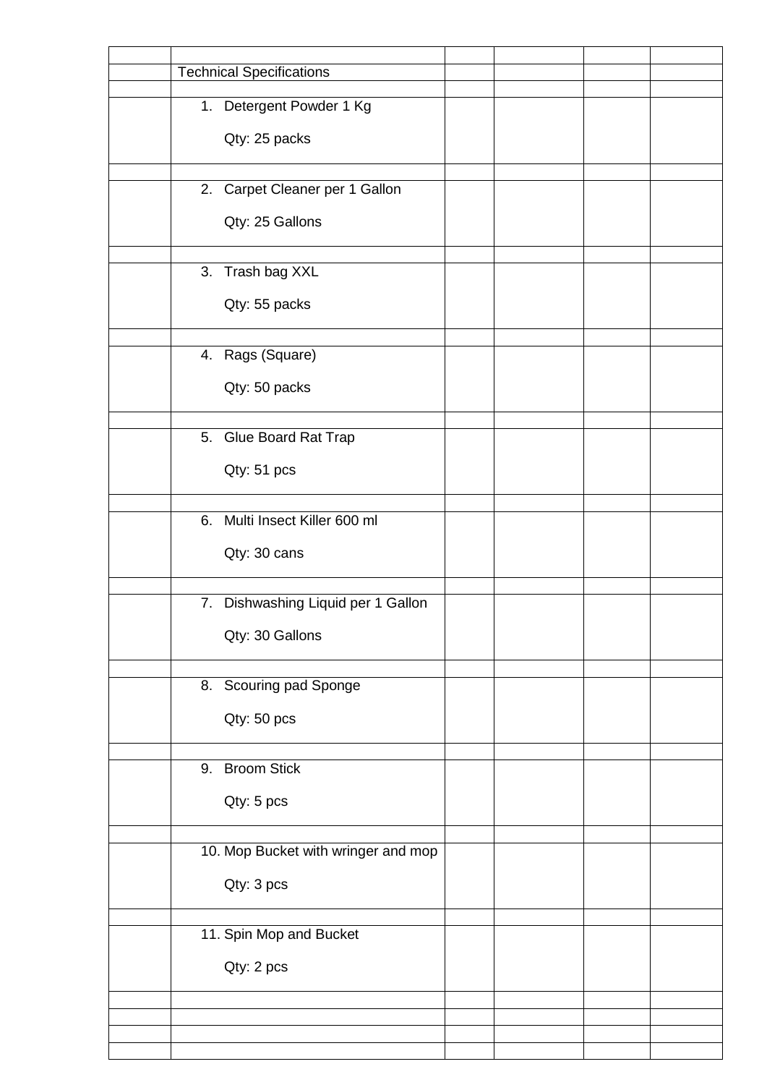| <b>Technical Specifications</b>     |  |  |
|-------------------------------------|--|--|
| 1. Detergent Powder 1 Kg            |  |  |
|                                     |  |  |
| Qty: 25 packs                       |  |  |
|                                     |  |  |
| 2. Carpet Cleaner per 1 Gallon      |  |  |
| Qty: 25 Gallons                     |  |  |
|                                     |  |  |
| 3. Trash bag XXL                    |  |  |
|                                     |  |  |
| Qty: 55 packs                       |  |  |
|                                     |  |  |
| 4. Rags (Square)                    |  |  |
| Qty: 50 packs                       |  |  |
|                                     |  |  |
| 5. Glue Board Rat Trap              |  |  |
|                                     |  |  |
| Qty: 51 pcs                         |  |  |
|                                     |  |  |
| 6. Multi Insect Killer 600 ml       |  |  |
| Qty: 30 cans                        |  |  |
|                                     |  |  |
| 7. Dishwashing Liquid per 1 Gallon  |  |  |
|                                     |  |  |
| Qty: 30 Gallons                     |  |  |
|                                     |  |  |
| 8. Scouring pad Sponge              |  |  |
| Qty: 50 pcs                         |  |  |
|                                     |  |  |
| 9. Broom Stick                      |  |  |
|                                     |  |  |
| Qty: 5 pcs                          |  |  |
|                                     |  |  |
| 10. Mop Bucket with wringer and mop |  |  |
| Qty: 3 pcs                          |  |  |
|                                     |  |  |
| 11. Spin Mop and Bucket             |  |  |
|                                     |  |  |
| Qty: 2 pcs                          |  |  |
|                                     |  |  |
|                                     |  |  |
|                                     |  |  |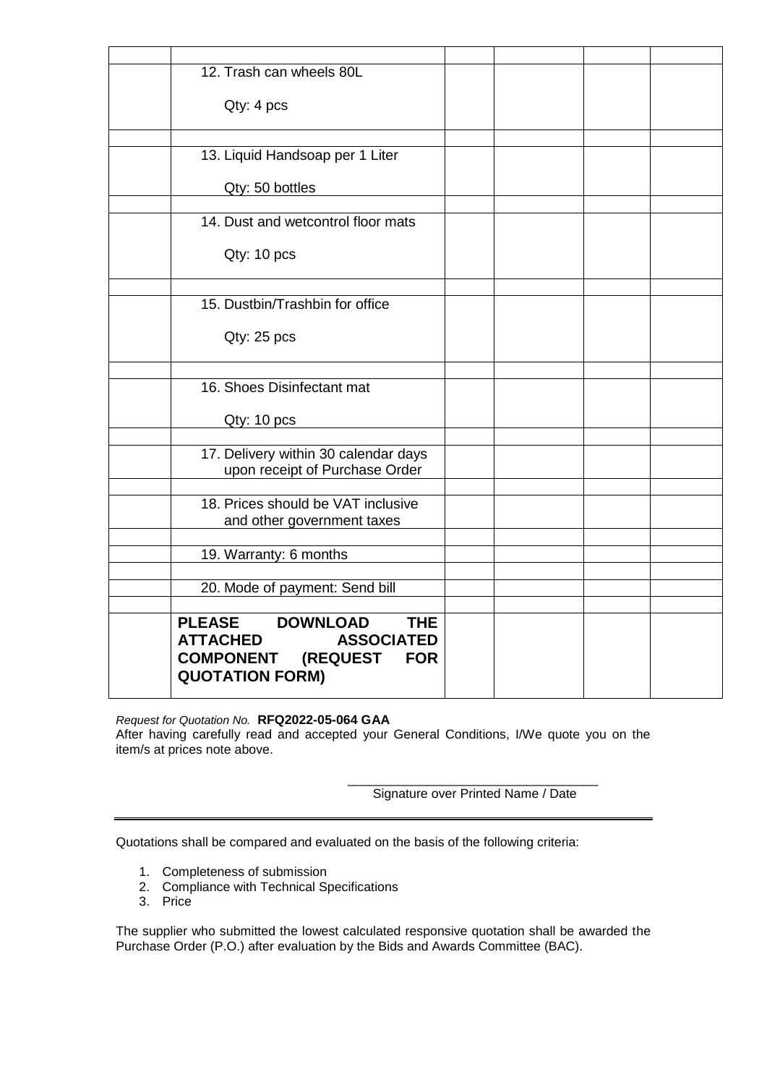| 12. Trash can wheels 80L                                               |  |  |
|------------------------------------------------------------------------|--|--|
|                                                                        |  |  |
| Qty: 4 pcs                                                             |  |  |
|                                                                        |  |  |
| 13. Liquid Handsoap per 1 Liter                                        |  |  |
|                                                                        |  |  |
| Qty: 50 bottles                                                        |  |  |
|                                                                        |  |  |
| 14. Dust and wetcontrol floor mats                                     |  |  |
| Qty: 10 pcs                                                            |  |  |
|                                                                        |  |  |
|                                                                        |  |  |
| 15. Dustbin/Trashbin for office                                        |  |  |
|                                                                        |  |  |
| Qty: 25 pcs                                                            |  |  |
|                                                                        |  |  |
| 16. Shoes Disinfectant mat                                             |  |  |
|                                                                        |  |  |
| Qty: 10 pcs                                                            |  |  |
|                                                                        |  |  |
| 17. Delivery within 30 calendar days<br>upon receipt of Purchase Order |  |  |
|                                                                        |  |  |
| 18. Prices should be VAT inclusive                                     |  |  |
| and other government taxes                                             |  |  |
|                                                                        |  |  |
| 19. Warranty: 6 months                                                 |  |  |
| 20. Mode of payment: Send bill                                         |  |  |
|                                                                        |  |  |
| <b>PLEASE</b><br><b>DOWNLOAD</b><br><b>THE</b>                         |  |  |
| <b>ATTACHED</b><br><b>ASSOCIATED</b>                                   |  |  |
| <b>COMPONENT</b><br><b>(REQUEST</b><br><b>FOR</b>                      |  |  |
| <b>QUOTATION FORM)</b>                                                 |  |  |
|                                                                        |  |  |

## *Request for Quotation No.* **RFQ2022-05-064 GAA**

After having carefully read and accepted your General Conditions, I/We quote you on the item/s at prices note above.

> \_\_\_\_\_\_\_\_\_\_\_\_\_\_\_\_\_\_\_\_\_\_\_\_\_\_\_\_\_\_\_\_\_\_\_ Signature over Printed Name / Date

Quotations shall be compared and evaluated on the basis of the following criteria:

- 1. Completeness of submission
- 2. Compliance with Technical Specifications
- 3. Price

The supplier who submitted the lowest calculated responsive quotation shall be awarded the Purchase Order (P.O.) after evaluation by the Bids and Awards Committee (BAC).